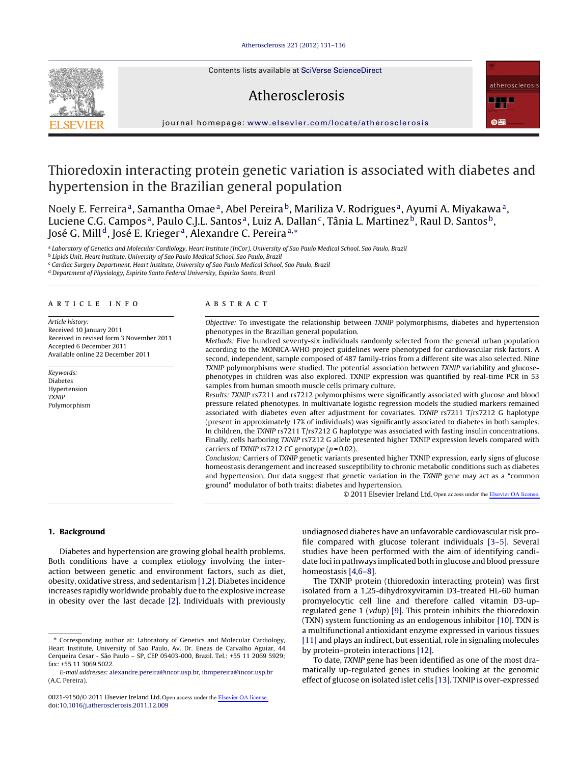Contents lists available at SciVerse [ScienceDirect](http://www.sciencedirect.com/science/journal/00219150)



## iournal homepage: [www.elsevier.com/locate/atherosclerosis](http://www.elsevier.com/locate/atherosclerosis)

Atherosclerosis

# Thioredoxin interacting protein genetic variation is associated with diabetes and hypertension in the Brazilian general population

Noely E. Ferreira<sup>a</sup>, Samantha Omae<sup>a</sup>, Abel Pereira<sup>b</sup>, Mariliza V. Rodrigues<sup>a</sup>, Ayumi A. Miyakawa<sup>a</sup>, Luciene C.G. Campos<sup>a</sup>, Paulo C.J.L. Santos<sup>a</sup>, Luiz A. Dallan<sup>c</sup>, Tânia L. Martinez<sup>b</sup>, Raul D. Santos<sup>b</sup>, José G. Mill<sup>d</sup>, José E. Krieger<sup>a</sup>, Alexandre C. Pereira<sup>a,\*</sup>

<sup>a</sup> Laboratory of Genetics and Molecular Cardiology, Heart Institute (InCor), University of Sao Paulo Medical School, Sao Paulo, Brazil

<sup>b</sup> Lipids Unit, Heart Institute, University of Sao Paulo Medical School, Sao Paulo, Brazil

<sup>c</sup> Cardiac Surgery Department, Heart Institute, University of Sao Paulo Medical School, Sao Paulo, Brazil

<sup>d</sup> Department of Physiology, Espirito Santo Federal University, Espirito Santo, Brazil

#### a r t i c l e i n f o

Article history: Received 10 January 2011 Received in revised form 3 November 2011 Accepted 6 December 2011 Available online 22 December 2011

Keywords: Diabetes Hypertension **TXNIP** Polymorphism

#### A B S T R A C T

Objective: To investigate the relationship between TXNIP polymorphisms, diabetes and hypertension phenotypes in the Brazilian general population.

Methods: Five hundred seventy-six individuals randomly selected from the general urban population according to the MONICA-WHO project guidelines were phenotyped for cardiovascular risk factors. A second, independent, sample composed of 487 family-trios from a different site was also selected. Nine TXNIP polymorphisms were studied. The potential association between TXNIP variability and glucosephenotypes in children was also explored. TXNIP expression was quantified by real-time PCR in 53 samples from human smooth muscle cells primary culture.

Results: TXNIP rs7211 and rs7212 polymorphisms were significantly associated with glucose and blood pressure related phenotypes. In multivariate logistic regression models the studied markers remained associated with diabetes even after adjustment for covariates. TXNIP rs7211 T/rs7212 G haplotype (present in approximately 17% of individuals) was significantly associated to diabetes in both samples. In children, the TXNIP rs7211 T/rs7212 G haplotype was associated with fasting insulin concentrations. Finally, cells harboring TXNIP rs7212 G allele presented higher TXNIP expression levels compared with carriers of TXNIP rs7212 CC genotype  $(p = 0.02)$ .

Conclusion: Carriers of TXNIP genetic variants presented higher TXNIP expression, early signs of glucose homeostasis derangement and increased susceptibility to chronic metabolic conditions such as diabetes and hypertension. Our data suggest that genetic variation in the TXNIP gene may act as a "common ground" modulator of both traits: diabetes and hypertension.

© 2011 Elsevier Ireland Ltd. Open access under the [Elsevier OA license.](http://www.elsevier.com/open-access/userlicense/1.0/)

### **1. Background**

Diabetes and hypertension are growing global health problems. Both conditions have a complex etiology involving the interaction between genetic and environment factors, such as diet, obesity, oxidative stress, and sedentarism [\[1,2\].](#page-5-0) Diabetes incidence increases rapidly worldwide probably due to the explosive increase in obesity over the last decade [\[2\].](#page-5-0) Individuals with previously

undiagnosed diabetes have an unfavorable cardiovascular risk profile compared with glucose tolerant individuals [\[3–5\].](#page-5-0) Several studies have been performed with the aim of identifying candidate loci in pathways implicated both in glucose and blood pressure homeostasis [\[4,6–8\].](#page-5-0)

The TXNIP protein (thioredoxin interacting protein) was first isolated from a 1,25-dihydroxyvitamin D3-treated HL-60 human promyelocytic cell line and therefore called vitamin D3-upregulated gene 1 (vdup) [\[9\].](#page-5-0) This protein inhibits the thioredoxin (TXN) system functioning as an endogenous inhibitor [\[10\].](#page-5-0) TXN is a multifunctional antioxidant enzyme expressed in various tissues [\[11\]](#page-5-0) and plays an indirect, but essential, role in signaling molecules by protein–protein interactions [\[12\].](#page-5-0)

To date, TXNIP gene has been identified as one of the most dramatically up-regulated genes in studies looking at the genomic effect of glucose on isolated islet cells [\[13\].](#page-5-0) TXNIP is over-expressed

<sup>∗</sup> Corresponding author at: Laboratory of Genetics and Molecular Cardiology, Heart Institute, University of Sao Paulo, Av. Dr. Eneas de Carvalho Aguiar, 44 Cerqueira Cesar - São Paulo – SP, CEP 05403-000, Brazil. Tel.: +55 11 2069 5929; fax: +55 11 3069 5022.

E-mail addresses: [alexandre.pereira@incor.usp.br,](mailto:alexandre.pereira@incor.usp.br) [ibmpereira@incor.usp.br](mailto:ibmpereira@incor.usp.br) (A.C. Pereira).

<sup>0021-9150/</sup>© 2011 Elsevier Ireland Ltd. Open access under the [Elsevier OA license.](http://www.elsevier.com/open-access/userlicense/1.0/)doi:[10.1016/j.atherosclerosis.2011.12.009](dx.doi.org/10.1016/j.atherosclerosis.2011.12.009)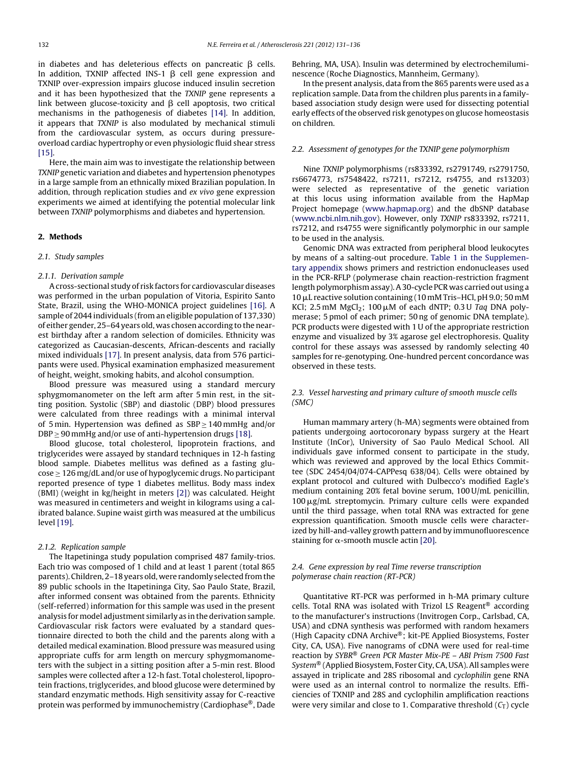in diabetes and has deleterious effects on pancreatic  $\beta$  cells. In addition, TXNIP affected INS-1  $\beta$  cell gene expression and TXNIP over-expression impairs glucose induced insulin secretion and it has been hypothesized that the TXNIP gene represents a link between glucose-toxicity and  $\beta$  cell apoptosis, two critical mechanisms in the pathogenesis of diabetes [\[14\].](#page-5-0) In addition, it appears that TXNIP is also modulated by mechanical stimuli from the cardiovascular system, as occurs during pressureoverload cardiac hypertrophy or even physiologic fluid shear stress [\[15\].](#page-5-0)

Here, the main aim was to investigate the relationship between TXNIP genetic variation and diabetes and hypertension phenotypes in a large sample from an ethnically mixed Brazilian population. In addition, through replication studies and ex vivo gene expression experiments we aimed at identifying the potential molecular link between TXNIP polymorphisms and diabetes and hypertension.

#### **2. Methods**

#### 2.1. Study samples

#### 2.1.1. Derivation sample

Across-sectional study of risk factors for cardiovascular diseases was performed in the urban population of Vitoria, Espirito Santo State, Brazil, using the WHO-MONICA project guidelines [\[16\].](#page-5-0) A sample of 2044 individuals (from an eligible population of 137,330) of either gender, 25–64 years old, was chosen according to the nearest birthday after a random selection of domiciles. Ethnicity was categorized as Caucasian-descents, African-descents and racially mixed individuals [\[17\].](#page-5-0) In present analysis, data from 576 participants were used. Physical examination emphasized measurement of height, weight, smoking habits, and alcohol consumption.

Blood pressure was measured using a standard mercury sphygmomanometer on the left arm after 5 min rest, in the sitting position. Systolic (SBP) and diastolic (DBP) blood pressures were calculated from three readings with a minimal interval of 5 min. Hypertension was defined as SBP ≥ 140 mmHg and/or DBP  $\geq$  90 mmHg and/or use of anti-hypertension drugs [\[18\].](#page-5-0)

Blood glucose, total cholesterol, lipoprotein fractions, and triglycerides were assayed by standard techniques in 12-h fasting blood sample. Diabetes mellitus was defined as a fasting glu- $\cos e \geq 126$  mg/dL and/or use of hypoglycemic drugs. No participant reported presence of type 1 diabetes mellitus. Body mass index (BMI) (weight in kg/height in meters [\[2\]\)](#page-5-0) was calculated. Height was measured in centimeters and weight in kilograms using a calibrated balance. Supine waist girth was measured at the umbilicus level [\[19\].](#page-5-0)

#### 2.1.2. Replication sample

The Itapetininga study population comprised 487 family-trios. Each trio was composed of 1 child and at least 1 parent (total 865 parents). Children, 2-18 years old, were randomly selected from the 89 public schools in the Itapetininga City, Sao Paulo State, Brazil, after informed consent was obtained from the parents. Ethnicity (self-referred) information for this sample was used in the present analysis for model adjustment similarly as in the derivation sample. Cardiovascular risk factors were evaluated by a standard questionnaire directed to both the child and the parents along with a detailed medical examination. Blood pressure was measured using appropriate cuffs for arm length on mercury sphygmomanometers with the subject in a sitting position after a 5-min rest. Blood samples were collected after a 12-h fast. Total cholesterol, lipoprotein fractions, triglycerides, and blood glucose were determined by standard enzymatic methods. High sensitivity assay for C-reactive protein was performed by immunochemistry (Cardiophase®, Dade Behring, MA, USA). Insulin was determined by electrochemiluminescence (Roche Diagnostics, Mannheim, Germany).

In the present analysis, data from the 865 parents were used as a replication sample. Data from the children plus parents in a familybased association study design were used for dissecting potential early effects of the observed risk genotypes on glucose homeostasis on children.

#### 2.2. Assessment of genotypes for the TXNIP gene polymorphism

Nine TXNIP polymorphisms (rs833392, rs2791749, rs2791750, rs6674773, rs7548422, rs7211, rs7212, rs4755, and rs13203) were selected as representative of the genetic variation at this locus using information available from the HapMap Project homepage [\(www.hapmap.org](http://www.hapmap.org/)) and the dbSNP database [\(www.ncbi.nlm.nih.gov](http://www.ncbi.nlm.nih.gov/)). However, only TXNIP rs833392, rs7211, rs7212, and rs4755 were significantly polymorphic in our sample to be used in the analysis.

Genomic DNA was extracted from peripheral blood leukocytes by means of a salting-out procedure. Table 1 in the [Supplemen](#page-5-0)tary appendix shows primers and restriction endonucleases used in the PCR-RFLP (polymerase chain reaction-restriction fragment length polymorphism assay).A30-cycle PCR was carried out using a 10 µL reactive solution containing (10 mM Tris-HCl, pH 9.0; 50 mM KCl; 2.5 mM  $MgCl<sub>2</sub>$ ; 100  $\mu$ M of each dNTP; 0.3 U Taq DNA polymerase; 5 pmol of each primer; 50 ng of genomic DNA template). PCR products were digested with 1 U of the appropriate restriction enzyme and visualized by 3% agarose gel electrophoresis. Quality control for these assays was assessed by randomly selecting 40 samples for re-genotyping. One-hundred percent concordance was observed in these tests.

#### 2.3. Vessel harvesting and primary culture of smooth muscle cells (SMC)

Human mammary artery (h-MA) segments were obtained from patients undergoing aortocoronary bypass surgery at the Heart Institute (InCor), University of Sao Paulo Medical School. All individuals gave informed consent to participate in the study, which was reviewed and approved by the local Ethics Committee (SDC 2454/04/074-CAPPesq 638/04). Cells were obtained by explant protocol and cultured with Dulbecco's modified Eagle's medium containing 20% fetal bovine serum, 100 U/mL penicillin,  $100 \,\mathrm{\upmu g/mL}$  streptomycin. Primary culture cells were expanded until the third passage, when total RNA was extracted for gene expression quantification. Smooth muscle cells were characterized by hill-and-valley growth pattern and by immunofluorescence staining for  $\alpha$ -smooth muscle actin [\[20\].](#page-5-0)

#### 2.4. Gene expression by real Time reverse transcription polymerase chain reaction (RT-PCR)

Quantitative RT-PCR was performed in h-MA primary culture cells. Total RNA was isolated with Trizol LS Reagent® according to the manufacturer's instructions (Invitrogen Corp., Carlsbad, CA, USA) and cDNA synthesis was performed with random hexamers (High Capacity cDNA Archive®; kit-PE Applied Biosystems, Foster City, CA, USA). Five nanograms of cDNA were used for real-time reaction by SYBR® Green PCR Master Mix-PE – ABI Prism 7500 Fast System® (Applied Biosystem, Foster City, CA, USA). All samples were assayed in triplicate and 28S ribosomal and cyclophilin gene RNA were used as an internal control to normalize the results. Efficiencies of TXNIP and 28S and cyclophilin amplification reactions were very similar and close to 1. Comparative threshold  $(C_T)$  cycle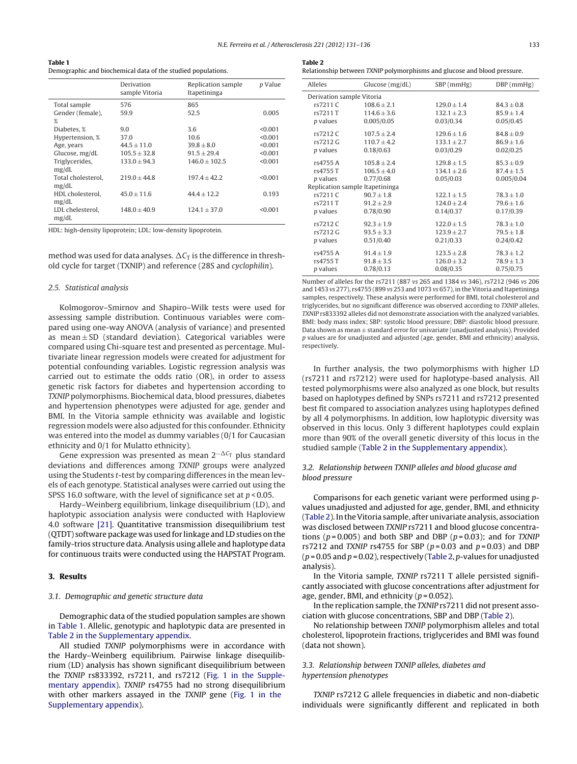| Table 1                                                      |  |
|--------------------------------------------------------------|--|
| Demographic and biochemical data of the studied populations. |  |

|                             | Derivation<br>sample Vitoria | Replication sample<br>Itapetininga | p Value |
|-----------------------------|------------------------------|------------------------------------|---------|
| Total sample                | 576                          | 865                                |         |
| Gender (female),            | 59.9                         | 52.5                               | 0.005   |
| %                           |                              |                                    |         |
| Diabetes, %                 | 9.0                          | 3.6                                | < 0.001 |
| Hypertension, %             | 37.0                         | 10.6                               | < 0.001 |
| Age, years                  | $44.5 \pm 11.0$              | $39.8 \pm 8.0$                     | < 0.001 |
| Glucose, mg/dL              | $105.5 \pm 32.8$             | $91.5 \pm 29.4$                    | < 0.001 |
| Triglycerides,<br>mg/dL     | $133.0 \pm 94.3$             | $146.0 \pm 102.5$                  | < 0.001 |
| Total cholesterol.<br>mg/dL | $219.0 + 44.8$               | $197.4 + 42.2$                     | < 0.001 |
| HDL cholesterol.<br>mg/dL   | $45.0 + 11.6$                | $44.4 \pm 12.2$                    | 0.193   |
| LDL chelesterol,<br>mg/dL   | $148.0 \pm 40.9$             | $124.1 \pm 37.0$                   | < 0.001 |

HDL: high-density lipoprotein; LDL: low-density lipoprotein.

method was used for data analyses.  $\Delta\mathit{C}_{\mathrm{T}}$  is the difference in threshold cycle for target (TXNIP) and reference (28S and cyclophilin).

#### 2.5. Statistical analysis

Kolmogorov–Smirnov and Shapiro–Wilk tests were used for assessing sample distribution. Continuous variables were compared using one-way ANOVA (analysis of variance) and presented as mean  $\pm$  SD (standard deviation). Categorical variables were compared using Chi-square test and presented as percentage. Multivariate linear regression models were created for adjustment for potential confounding variables. Logistic regression analysis was carried out to estimate the odds ratio (OR), in order to assess genetic risk factors for diabetes and hypertension according to TXNIP polymorphisms. Biochemical data, blood pressures, diabetes and hypertension phenotypes were adjusted for age, gender and BMI. In the Vitoria sample ethnicity was available and logistic regression models were also adjusted for this confounder. Ethnicity was entered into the model as dummy variables (0/1 for Caucasian ethnicity and 0/1 for Mulatto ethnicity).

Gene expression was presented as mean 2<sup>- $\Delta C_T$ </sup> plus standard deviations and differences among TXNIP groups were analyzed using the Students t-test by comparing differences in the mean levels of each genotype. Statistical analyses were carried out using the SPSS 16.0 software, with the level of significance set at  $p < 0.05$ .

Hardy–Weinberg equilibrium, linkage disequilibrium (LD), and haplotypic association analysis were conducted with Haploview 4.0 software [\[21\].](#page-5-0) Quantitative transmission disequilibrium test (QTDT) software package was used for linkage and LD studies on the family-trios structure data.Analysis using allele and haplotype data for continuous traits were conducted using the HAPSTAT Program.

#### **3. Results**

#### 3.1. Demographic and genetic structure data

Demographic data of the studied population samples are shown in Table 1. Allelic, genotypic and haplotypic data are presented in Table 2 in the [Supplementary](#page-5-0) appendix.

All studied TXNIP polymorphisms were in accordance with the Hardy–Weinberg equilibrium. Pairwise linkage disequilibrium (LD) analysis has shown significant disequilibrium between the TXNIP rs833392, rs7211, and rs7212 (Fig. 1 in the Supplementary appendix). TXNIP rs4755 had no strong disequilibrium with other markers assayed in the TXNIP gene (Fig. 1 in the Supplementary appendix).

| Table 2 |                                                                          |  |
|---------|--------------------------------------------------------------------------|--|
|         | Relationship between TXNIP polymorphisms and glucose and blood pressure. |  |

| Alleles                   | Glucose (mg/dL)                 | $SBP$ (mmHg)    | $DBP$ (mmHg)   |  |  |  |  |  |
|---------------------------|---------------------------------|-----------------|----------------|--|--|--|--|--|
| Derivation sample Vitoria |                                 |                 |                |  |  |  |  |  |
| rs7211 C                  | $108.6 + 2.1$                   | $129.0 + 1.4$   | $84.3 + 0.8$   |  |  |  |  |  |
| rs7211 T                  | $114.6 \pm 3.6$                 | $132.1 \pm 2.3$ | $85.9 + 1.4$   |  |  |  |  |  |
| <i>p</i> values           | 0.005/0.05                      | 0.03/0.34       | 0.05/0.45      |  |  |  |  |  |
| rs7212 C                  | $107.5 + 2.4$                   | $129.6 + 1.6$   | $84.8 + 0.9$   |  |  |  |  |  |
| rs7212 G                  | $110.7 + 4.2$                   | $133.1 \pm 2.7$ | $86.9 \pm 1.6$ |  |  |  |  |  |
| <i>p</i> values           | 0.18/0.63                       | 0.03/0.29       | 0.02/0.25      |  |  |  |  |  |
| rs4755 A                  | $105.8 + 2.4$                   | $129.8 + 1.5$   | $85.3 \pm 0.9$ |  |  |  |  |  |
| rs4755 T                  | $106.5 \pm 4.0$                 | $134.1 \pm 2.6$ | $87.4 \pm 1.5$ |  |  |  |  |  |
| <i>p</i> values           | 0.77/0.68                       | 0.05/0.03       | 0.005/0.04     |  |  |  |  |  |
|                           | Replication sample Itapetininga |                 |                |  |  |  |  |  |
| rs7211 C                  | $90.7 + 1.8$                    | $122.1 + 1.5$   | $78.3 + 1.0$   |  |  |  |  |  |
| rs7211 T                  | $91.2 \pm 2.9$                  | $124.0 \pm 2.4$ | $79.6 \pm 1.6$ |  |  |  |  |  |
| <i>p</i> values           | 0.78/0.90                       | 0.14/0.37       | 0.17/0.39      |  |  |  |  |  |
| rs7212 C                  | $92.3 + 1.9$                    | $122.0 + 1.5$   | $78.3 + 1.0$   |  |  |  |  |  |
| rs7212 G                  | $93.5 \pm 3.3$                  | $123.9 \pm 2.7$ | $79.5 \pm 1.8$ |  |  |  |  |  |
| <i>p</i> values           | 0.51/0.40                       | 0.21/0.33       | 0.24/0.42      |  |  |  |  |  |
| rs4755 A                  | $91.4 + 1.9$                    | $123.5 \pm 2.8$ | $78.3 \pm 1.2$ |  |  |  |  |  |
| rs4755 T                  | $91.8 \pm 3.5$                  | $126.0 \pm 3.2$ | $78.9 \pm 1.3$ |  |  |  |  |  |
| <i>p</i> values           | 0.78/0.13                       | 0.08/0.35       | 0.75/0.75      |  |  |  |  |  |
|                           |                                 |                 |                |  |  |  |  |  |

Number of alleles for the rs7211 (887 vs 265 and 1384 vs 346), rs7212 (946 vs 206 and 1453 vs 277), rs4755 (899 vs 253 and 1073 vs 657), in the Vitoria and Itapetininga samples, respectively. These analysis were performed for BMI, total cholesterol and triglycerides, but no significant difference was observed according to TXNIP alleles. TXNIP rs833392 alleles did not demonstrate association with the analyzed variables. BMI: body mass index; SBP: systolic blood pressure; DBP: diastolic blood pressure. Data shown as mean  $\pm$  standard error for univariate (unadjusted analysis). Provided p values are for unadjusted and adjusted (age, gender, BMI and ethnicity) analysis, respectively.

In further analysis, the two polymorphisms with higher LD (rs7211 and rs7212) were used for haplotype-based analysis. All tested polymorphisms were also analyzed as one block, but results based on haplotypes defined by SNPs rs7211 and rs7212 presented best fit compared to association analyzes using haplotypes defined by all 4 polymorphisms. In addition, low haplotypic diversity was observed in this locus. Only 3 different haplotypes could explain more than 90% of the overall genetic diversity of this locus in the studied sample (Table 2 in the [Supplementary](#page-5-0) appendix).

#### 3.2. Relationship between TXNIP alleles and blood glucose and blood pressure

Comparisons for each genetic variant were performed using pvalues unadjusted and adjusted for age, gender, BMI, and ethnicity (Table 2).IntheVitoria sample, afterunivariate analysis, association was disclosed between TXNIP rs7211 and blood glucose concentrations ( $p = 0.005$ ) and both SBP and DBP ( $p = 0.03$ ); and for TXNIP rs7212 and TXNIP rs4755 for SBP ( $p = 0.03$  and  $p = 0.03$ ) and DBP  $(p = 0.05$  and  $p = 0.02$ ), respectively (Table 2, p-values for unadjusted analysis).

In the Vitoria sample, TXNIP rs7211 T allele persisted significantly associated with glucose concentrations after adjustment for age, gender, BMI, and ethnicity  $(p = 0.052)$ .

In the replication sample, the TXNIP rs7211 did not present association with glucose concentrations, SBP and DBP (Table 2).

No relationship between TXNIP polymorphism alleles and total cholesterol, lipoprotein fractions, triglycerides and BMI was found (data not shown).

#### 3.3. Relationship between TXNIP alleles, diabetes and [hypertension](#page-5-0) phenotypes

TXNIP [rs7212](#page-5-0) G allele frequencies in diabetic and non-diabetic individuals were significantly different and replicated in both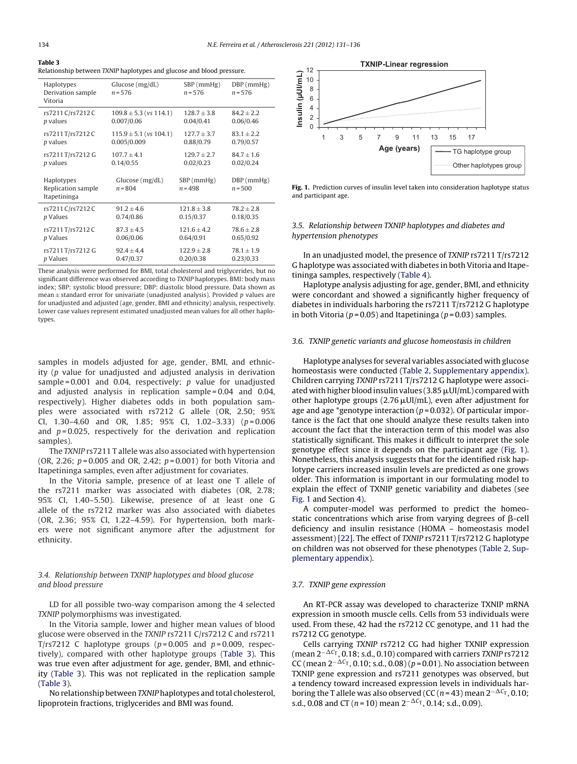#### **Table 3** Relationship between TXNIP haplotypes and glucose and blood pressure.

| Haplotypes<br>Derivation sample<br>Vitoria       | Glucose $(mg/dL)$<br>$n = 576$ | $SBP$ (mmHg)<br>$n = 576$ |                           |
|--------------------------------------------------|--------------------------------|---------------------------|---------------------------|
| rs7211 C/rs7212 C                                | $109.8 \pm 5.3$ (vs 114.1)     | $128.7 \pm 3.8$           | $84.2 \pm 2.2$            |
| <i>p</i> values                                  | 0.007/0.06                     | 0.04/0.41                 | 0.06/0.46                 |
| rs7211T/rs7212C                                  | $115.9 \pm 5.1$ (vs 104.1)     | $127.7 \pm 3.7$           | $83.1 \pm 2.2$            |
| <i>p</i> values                                  | 0.005/0.009                    | 0.88/0.79                 | 0.79/0.57                 |
| rs7211T/rs7212G                                  | $107.7 \pm 4.1$                | $129.7 \pm 2.7$           | $84.7 \pm 1.6$            |
| <i>p</i> values                                  | 0.14/0.55                      | 0.02/0.23                 | 0.02/0.24                 |
| Haplotypes<br>Replication sample<br>Itapetininga | Glucose (mg/dL)<br>$n = 804$   | $SBP$ (mmHg)<br>$n = 498$ | $DBP$ (mmHg)<br>$n = 500$ |
| rs7211 C/rs7212 C                                | $91.2 \pm 4.6$                 | $121.8 \pm 3.8$           | $78.2 \pm 2.8$            |
| p Values                                         | 0.74/0.86                      | 0.15/0.37                 | 0.18/0.35                 |
| rs7211T/rs7212C                                  | $87.3 \pm 4.5$                 | $121.6 \pm 4.2$           | $78.6 \pm 2.8$            |
| p Values                                         | 0.06/0.06                      | 0.64/0.91                 | 0.65/0.92                 |
| rs7211T/rs7212G                                  | $92.4 \pm 4.4$                 | $122.9 \pm 2.8$           | $78.1 \pm 1.9$            |
| p Values                                         | 0.47/0.37                      | 0.20/0.38                 | 0.23/0.33                 |

These analysis were performed for BMI, total cholesterol and triglycerides, but no significant difference was observed according to TXNIP haplotypes. BMI: body mass index; SBP: systolic blood pressure; DBP: diastolic blood pressure. Data shown as mean  $\pm$  standard error for univariate (unadjusted analysis). Provided p values are for unadjusted and adjusted (age, gender, BMI and ethnicity) analysis, respectively. Lower case values represent estimated unadjusted mean values for all other haplotypes.

samples in models adjusted for age, gender, BMI, and ethnicity (p value for unadjusted and adjusted analysis in derivation sample =  $0.001$  and 0.04, respectively; p value for unadjusted and adjusted analysis in replication sample = 0.04 and 0.04, respectively). Higher diabetes odds in both population samples were associated with rs7212 G allele (OR, 2.50; 95% CI, 1.30-4.60 and OR, 1.85; 95% CI, 1.02-3.33)  $(p=0.006)$ and  $p = 0.025$ , respectively for the derivation and replication samples).

The TXNIP rs7211 T allele was also associated with hypertension (OR, 2.26;  $p = 0.005$  and OR, 2.42;  $p = 0.001$ ) for both Vitoria and Itapetininga samples, even after adjustment for covariates.

In the Vitoria sample, presence of at least one T allele of the rs7211 marker was associated with diabetes (OR, 2.78; 95% CI, 1.40–5.50). Likewise, presence of at least one G allele of the rs7212 marker was also associated with diabetes (OR, 2.36; 95% CI, 1.22–4.59). For hypertension, both markers were not significant anymore after the adjustment for ethnicity.

#### 3.4. Relationship between TXNIP haplotypes and blood glucose and blood pressure

LD for all possible two-way comparison among the 4 selected TXNIP polymorphisms was investigated.

In the Vitoria sample, lower and higher mean values of blood glucose were observed in the TXNIP rs7211 C/rs7212 C and rs7211 T/rs7212 C haplotype groups ( $p = 0.005$  and  $p = 0.009$ , respectively), compared with other haplotype groups (Table 3). This was true even after adjustment for age, gender, BMI, and ethnicity (Table 3). This was not replicated in the replication sample (Table 3).

No relationship between TXNIP haplotypes and total cholesterol, lipoprotein fractions, triglycerides and BMI was found.



**Fig. 1.** Prediction curves of insulin level taken into consideration haplotype status and participant age.

#### 3.5. Relationship between TXNIP haplotypes and diabetes and hypertension phenotypes

In an unadjusted model, the presence of TXNIP rs7211 T/rs7212 G haplotype was associated with diabetes in both Vitoria and Itapetininga samples, respectively ([Table](#page-4-0) 4).

Haplotype analysis adjusting for age, gender, BMI, and ethnicity were concordant and showed a significantly higher frequency of diabetes in individuals harboring the rs7211 T/rs7212 G haplotype in both Vitoria ( $p = 0.05$ ) and Itapetininga ( $p = 0.03$ ) samples.

#### 3.6. TXNIP genetic variants and glucose homeostasis in children

Haplotype analyses for several variables associated with glucose homeostasis were conducted (Table 2, [Supplementary](#page-5-0) appendix). Children carrying TXNIP rs7211 T/rs7212 G haplotype were associated with higher blood insulin values (3.85  $\mu$ UI/mL) compared with other haplotype groups  $(2.76 \mu U I/mL)$ , even after adjustment for age and age \*genotype interaction ( $p = 0.032$ ). Of particular importance is the fact that one should analyze these results taken into account the fact that the interaction term of this model was also statistically significant. This makes it difficult to interpret the sole genotype effect since it depends on the participant age (Fig. 1). Nonetheless, this analysis suggests that for the identified risk haplotype carriers increased insulin levels are predicted as one grows older. This information is important in our formulating model to explain the effect of TXNIP genetic variability and diabetes (see Fig. 1 and Section [4\).](#page-4-0)

A computer-model was performed to predict the homeostatic concentrations which arise from varying degrees of  $\beta$ -cell deficiency and insulin resistance (HOMA – homeostasis model assessment) [\[22\].](#page-5-0) The effect of TXNIP rs7211 T/rs7212 G haplotype on children was not observed for these phenotypes [\(Table](#page-5-0) 2, Supplementary appendix).

#### 3.7. TXNIP gene expression

An RT-PCR assay was developed to characterize TXNIP mRNA expression in smooth muscle cells. Cells from 53 individuals were used. From these, 42 had the rs7212 CC genotype, and 11 had the rs7212 CG genotype.

Cells carrying TXNIP rs7212 CG had higher TXNIP expression (mean 2<sup>−∆C</sup>™, 0.18; s.d., 0.10) compared with carriers TXNIP rs7212 CC (mean 2<sup>- $\Delta C_{\text{T}}$ , 0.10; s.d., 0.08) (p = 0.01). No association between</sup> TXNIP gene expression and rs7211 genotypes was observed, but a tendency toward increased expression levels in individuals harboring the T allele was also observed (CC (n = 43) mean 2<sup>- $\Delta C_{\rm T}$ </sup>, 0.10; s.d., 0.08 and CT (n = 10) mean  $2^{-\Delta C_T}$ , 0.14; s.d., 0.09).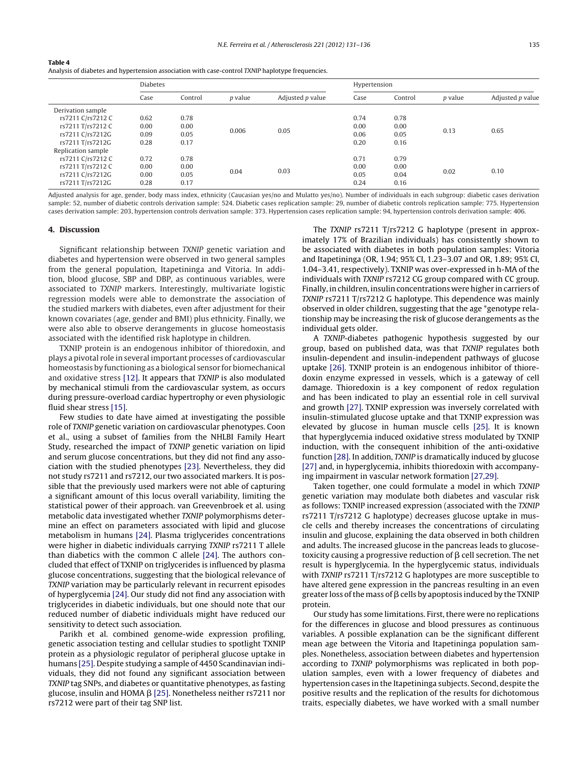<span id="page-4-0"></span>

| . . | $\sim$ |  |
|-----|--------|--|
|-----|--------|--|

Analysis of diabetes and hypertension association with case-control TXNIP haplotype frequencies.

|                    | <b>Diabetes</b> |         |                | Hypertension     |      |         |                |                  |
|--------------------|-----------------|---------|----------------|------------------|------|---------|----------------|------------------|
|                    | Case            | Control | <i>p</i> value | Adjusted p value | Case | Control | <i>p</i> value | Adjusted p value |
| Derivation sample  |                 |         |                |                  |      |         |                |                  |
| rs7211 C/rs7212 C  | 0.62            | 0.78    | 0.006          |                  | 0.74 | 0.78    |                |                  |
| rs7211 T/rs7212 C  | 0.00            | 0.00    |                |                  | 0.00 | 0.00    |                |                  |
| rs7211 C/rs7212G   | 0.09            | 0.05    |                | 0.05             | 0.06 | 0.05    | 0.13           | 0.65             |
| rs7211 T/rs7212G   | 0.28            | 0.17    |                |                  | 0.20 | 0.16    |                |                  |
| Replication sample |                 |         |                |                  |      |         |                |                  |
| rs7211 C/rs7212 C  | 0.72            | 0.78    | 0.04           |                  | 0.71 | 0.79    |                |                  |
| rs7211 T/rs7212 C  | 0.00            | 0.00    |                |                  | 0.00 | 0.00    |                |                  |
| rs7211 C/rs7212G   | 0.00            | 0.05    |                | 0.03             | 0.05 | 0.04    | 0.02           | 0.10             |
| rs7211 T/rs7212G   | 0.28            | 0.17    |                |                  | 0.24 | 0.16    |                |                  |

Adjusted analysis for age, gender, body mass index, ethnicity (Caucasian yes/no and Mulatto yes/no). Number of individuals in each subgroup: diabetic cases derivation sample: 52, number of diabetic controls derivation sample: 524. Diabetic cases replication sample: 29, number of diabetic controls replication sample: 775. Hypertension cases derivation sample: 203, hypertension controls derivation sample: 373. Hypertension cases replication sample: 94, hypertension controls derivation sample: 406.

#### **4. Discussion**

Significant relationship between TXNIP genetic variation and diabetes and hypertension were observed in two general samples from the general population, Itapetininga and Vitoria. In addition, blood glucose, SBP and DBP, as continuous variables, were associated to TXNIP markers. Interestingly, multivariate logistic regression models were able to demonstrate the association of the studied markers with diabetes, even after adjustment for their known covariates (age, gender and BMI) plus ethnicity. Finally, we were also able to observe derangements in glucose homeostasis associated with the identified risk haplotype in children.

TXNIP protein is an endogenous inhibitor of thioredoxin, and plays a pivotal role in several important processes of cardiovascular homeostasis by functioning as a biological sensor for biomechanical and oxidative stress [\[12\].](#page-5-0) It appears that TXNIP is also modulated by mechanical stimuli from the cardiovascular system, as occurs during pressure-overload cardiac hypertrophy or even physiologic fluid shear stress [\[15\].](#page-5-0)

Few studies to date have aimed at investigating the possible role of TXNIP genetic variation on cardiovascular phenotypes. Coon et al., using a subset of families from the NHLBI Family Heart Study, researched the impact of TXNIP genetic variation on lipid and serum glucose concentrations, but they did not find any association with the studied phenotypes [\[23\].](#page-5-0) Nevertheless, they did not study rs7211 and rs7212, our two associated markers. It is possible that the previously used markers were not able of capturing a significant amount of this locus overall variability, limiting the statistical power of their approach. van Greevenbroek et al. using metabolic data investigated whether TXNIP polymorphisms determine an effect on parameters associated with lipid and glucose metabolism in humans [\[24\].](#page-5-0) Plasma triglycerides concentrations were higher in diabetic individuals carrying TXNIP rs7211 T allele than diabetics with the common C allele [\[24\].](#page-5-0) The authors concluded that effect of TXNIP on triglycerides is influenced by plasma glucose concentrations, suggesting that the biological relevance of TXNIP variation may be particularly relevant in recurrent episodes of hyperglycemia [\[24\].](#page-5-0) Our study did not find any association with triglycerides in diabetic individuals, but one should note that our reduced number of diabetic individuals might have reduced our sensitivity to detect such association.

Parikh et al. combined genome-wide expression profiling, genetic association testing and cellular studies to spotlight TXNIP protein as a physiologic regulator of peripheral glucose uptake in humans [\[25\].](#page-5-0) Despite studying a sample of 4450 Scandinavian individuals, they did not found any significant association between TXNIP tag SNPs, and diabetes or quantitative phenotypes, as fasting glucose, insulin and HOMA  $\beta$  [\[25\].](#page-5-0) Nonetheless neither rs7211 nor rs7212 were part of their tag SNP list.

The TXNIP rs7211 T/rs7212 G haplotype (present in approximately 17% of Brazilian individuals) has consistently shown to be associated with diabetes in both population samples: Vitoria and Itapetininga (OR, 1.94; 95% CI, 1.23–3.07 and OR, 1.89; 95% CI, 1.04–3.41, respectively). TXNIP was over-expressed in h-MA of the individuals with TXNIP rs7212 CG group compared with CC group. Finally, in children, insulin concentrations were higher in carriers of TXNIP rs7211 T/rs7212 G haplotype. This dependence was mainly observed in older children, suggesting that the age \*genotype relationship may be increasing the risk of glucose derangements as the individual gets older.

A TXNIP-diabetes pathogenic hypothesis suggested by our group, based on published data, was that TXNIP regulates both insulin-dependent and insulin-independent pathways of glucose uptake [\[26\].](#page-5-0) TXNIP protein is an endogenous inhibitor of thioredoxin enzyme expressed in vessels, which is a gateway of cell damage. Thioredoxin is a key component of redox regulation and has been indicated to play an essential role in cell survival and growth [\[27\].](#page-5-0) TXNIP expression was inversely correlated with insulin-stimulated glucose uptake and that TXNIP expression was elevated by glucose in human muscle cells [\[25\].](#page-5-0) It is known that hyperglycemia induced oxidative stress modulated by TXNIP induction, with the consequent inhibition of the anti-oxidative function [\[28\].](#page-5-0) In addition, TXNIP is dramatically induced by glucose [\[27\]](#page-5-0) and, in hyperglycemia, inhibits thioredoxin with accompanying impairment in vascular network formation [\[27,29\].](#page-5-0)

Taken together, one could formulate a model in which TXNIP genetic variation may modulate both diabetes and vascular risk as follows: TXNIP increased expression (associated with the TXNIP rs7211 T/rs7212 G haplotype) decreases glucose uptake in muscle cells and thereby increases the concentrations of circulating insulin and glucose, explaining the data observed in both children and adults. The increased glucose in the pancreas leads to glucosetoxicity causing a progressive reduction of  $\beta$  cell secretion. The net result is hyperglycemia. In the hyperglycemic status, individuals with TXNIP rs7211 T/rs7212 G haplotypes are more susceptible to have altered gene expression in the pancreas resulting in an even greater loss of the mass of  $\beta$  cells by apoptosis induced by the TXNIP protein.

Our study has some limitations. First, there were no replications for the differences in glucose and blood pressures as continuous variables. A possible explanation can be the significant different mean age between the Vitoria and Itapetininga population samples. Nonetheless, association between diabetes and hypertension according to TXNIP polymorphisms was replicated in both population samples, even with a lower frequency of diabetes and hypertension cases in the Itapetininga subjects. Second, despite the positive results and the replication of the results for dichotomous traits, especially diabetes, we have worked with a small number